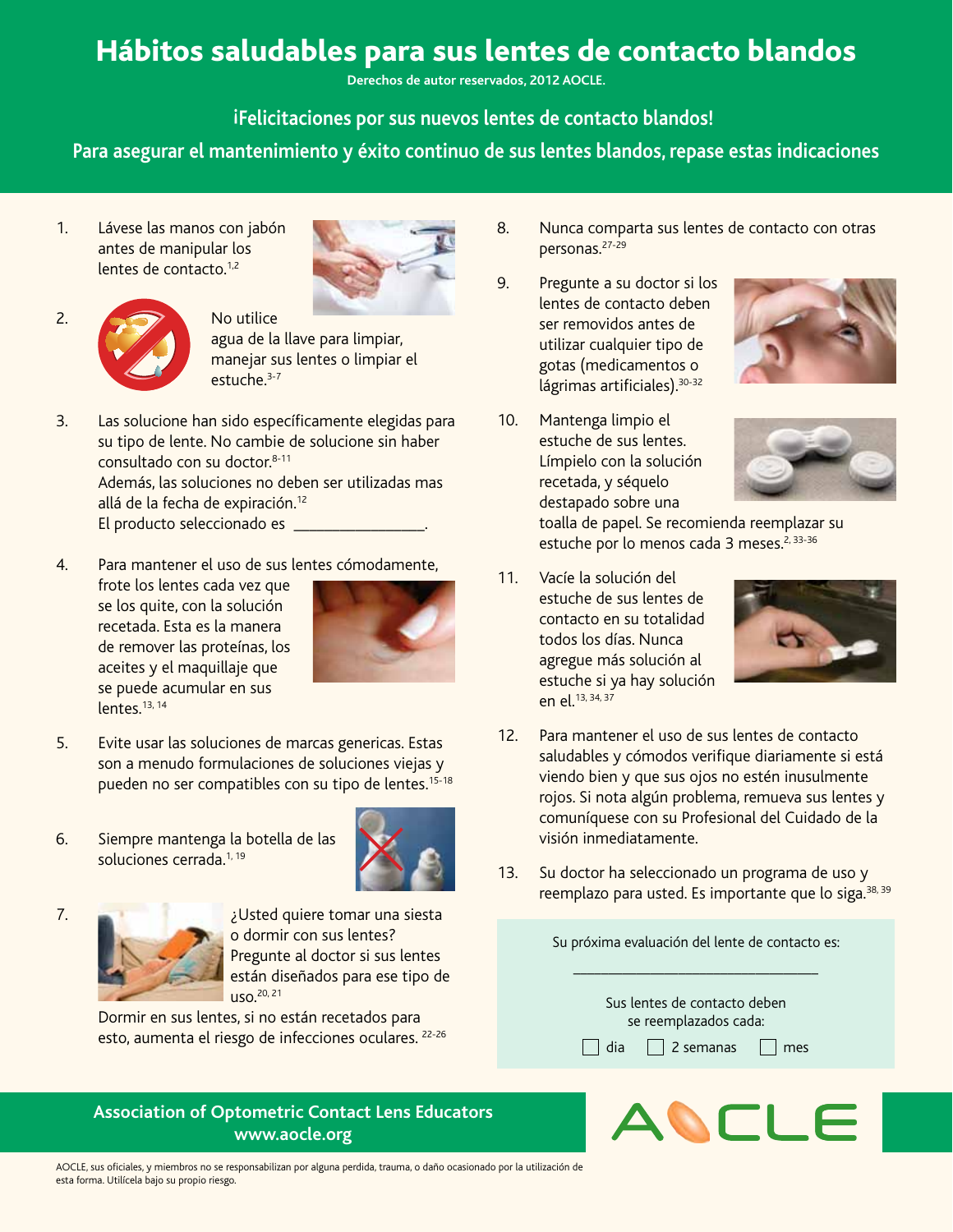## Hábitos saludables para sus lentes de contacto blandos

**Derechos de autor reservados, 2012 AOCLE.** 

**Felicitaciones por sus nuevos lentes de contacto blandos! !**

**Para asegurar el mantenimiento y éxito continuo de sus lentes blandos, repase estas indicaciones**

1. Lávese las manos con jabón antes de manipular los lentes de contacto.<sup>1,2</sup>





agua de la llave para limpiar, manejar sus lentes o limpiar el estuche<sup>3-7</sup>

- 3. Las solucione han sido específicamente elegidas para su tipo de lente. No cambie de solucione sin haber consultado con su doctor.8-11 Además, las soluciones no deben ser utilizadas mas allá de la fecha de expiración.<sup>12</sup> El producto seleccionado es **contrarentes**
- 4. Para mantener el uso de sus lentes cómodamente,

frote los lentes cada vez que se los quite, con la solución recetada. Esta es la manera de remover las proteínas, los aceites y el maquillaje que se puede acumular en sus lentes.<sup>13, 14</sup>



- 5. Evite usar las soluciones de marcas genericas. Estas son a menudo formulaciones de soluciones viejas y pueden no ser compatibles con su tipo de lentes.<sup>15-18</sup>
- 6. Siempre mantenga la botella de las soluciones cerrada.<sup>1, 19</sup>





7. ¿Usted quiere tomar una siesta o dormir con sus lentes? Pregunte al doctor si sus lentes están diseñados para ese tipo de uso.20, 21

> Dormir en sus lentes, si no están recetados para esto, aumenta el riesgo de infecciones oculares. <sup>22-26</sup>

## **Association of Optometric Contact Lens Educators www.aocle.org**

- 8. Nunca comparta sus lentes de contacto con otras personas.27-29
- 9. Pregunte a su doctor si los lentes de contacto deben ser removidos antes de utilizar cualquier tipo de gotas (medicamentos o lágrimas artificiales). 30-32
- 10. Mantenga limpio el estuche de sus lentes. Límpielo con la solución recetada, y séquelo destapado sobre una



toalla de papel. Se recomienda reemplazar su estuche por lo menos cada 3 meses.<sup>2, 33-36</sup>

11. Vacíe la solución del estuche de sus lentes de contacto en su totalidad todos los días. Nunca agregue más solución al estuche si ya hay solución en el.13, 34, 37



- 12. Para mantener el uso de sus lentes de contacto saludables y cómodos verifique diariamente si está viendo bien y que sus ojos no estén inusulmente rojos. Si nota algún problema, remueva sus lentes y comuníquese con su Profesional del Cuidado de la visión inmediatamente.
- 13. Su doctor ha seleccionado un programa de uso y reemplazo para usted. Es importante que lo siga.<sup>38, 39</sup>

Su próxima evaluación del lente de contacto es: \_\_\_\_\_\_\_\_\_\_\_\_\_\_\_\_\_\_\_\_\_\_\_\_\_\_\_\_\_\_\_\_\_\_\_





AOCLE, sus oficiales, y miembros no se responsabilizan por alguna perdida, trauma, o daño ocasionado por la utilización de esta forma. Utilícela bajo su propio riesgo.